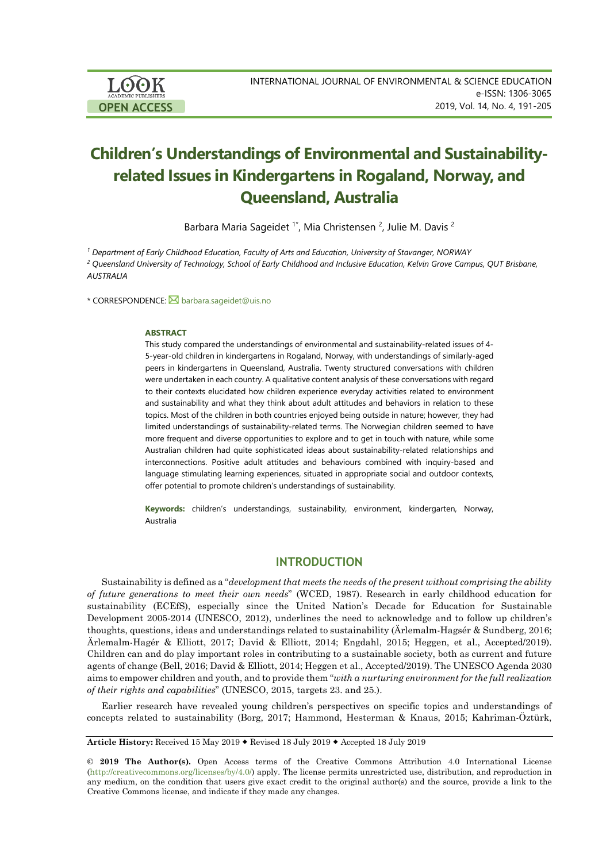# **Children's Understandings of Environmental and Sustainabilityrelated Issues in Kindergartens in Rogaland, Norway, and Queensland, Australia**

Barbara Maria Sageidet <sup>1\*</sup>, Mia Christensen <sup>2</sup>, Julie M. Davis <sup>2</sup>

*<sup>1</sup> Department of Early Childhood Education, Faculty of Arts and Education, University of Stavanger, NORWAY*

<sup>2</sup> Queensland University of Technology, School of Early Childhood and Inclusive Education, Kelvin Grove Campus, QUT Brisbane, *AUSTRALIA*

\* CORRESPONDENCE: [barbara.sageidet@uis.no](mailto:barbara.sageidet@uis.no)

#### **ABSTRACT**

This study compared the understandings of environmental and sustainability-related issues of 4- 5-year-old children in kindergartens in Rogaland, Norway, with understandings of similarly-aged peers in kindergartens in Queensland, Australia. Twenty structured conversations with children were undertaken in each country. A qualitative content analysis of these conversations with regard to their contexts elucidated how children experience everyday activities related to environment and sustainability and what they think about adult attitudes and behaviors in relation to these topics. Most of the children in both countries enjoyed being outside in nature; however, they had limited understandings of sustainability-related terms. The Norwegian children seemed to have more frequent and diverse opportunities to explore and to get in touch with nature, while some Australian children had quite sophisticated ideas about sustainability-related relationships and interconnections. Positive adult attitudes and behaviours combined with inquiry-based and language stimulating learning experiences, situated in appropriate social and outdoor contexts, offer potential to promote children's understandings of sustainability.

**Keywords:** children's understandings, sustainability, environment, kindergarten, Norway, Australia

#### **INTRODUCTION**

Sustainability is defined as a "*development that meets the needs of the present without comprising the ability of future generations to meet their own needs*" (WCED, 1987). Research in early childhood education for sustainability (ECEfS), especially since the United Nation's Decade for Education for Sustainable Development 2005-2014 (UNESCO, 2012), underlines the need to acknowledge and to follow up children's thoughts, questions, ideas and understandings related to sustainability (Ärlemalm-Hagsér & Sundberg, 2016; Ärlemalm-Hagér & Elliott, 2017; David & Elliott, 2014; Engdahl, 2015; Heggen, et al., Accepted/2019). Children can and do play important roles in contributing to a sustainable society, both as current and future agents of change (Bell, 2016; David & Elliott, 2014; Heggen et al., Accepted/2019). The UNESCO Agenda 2030 aims to empower children and youth, and to provide them "*with a nurturing environment for the full realization of their rights and capabilities*" (UNESCO, 2015, targets 23. and 25.).

Earlier research have revealed young children's perspectives on specific topics and understandings of concepts related to sustainability (Borg, 2017; Hammond, Hesterman & Knaus, 2015; Kahriman-Öztürk,

**Article History:** Received 15 May 2019 Revised 18 July 2019 Accepted 18 July 2019

**© 2019 The Author(s).** Open Access terms of the Creative Commons Attribution 4.0 International License [\(http://creativecommons.org/licenses/by/4.0/\)](http://creativecommons.org/licenses/by/4.0/) apply. The license permits unrestricted use, distribution, and reproduction in any medium, on the condition that users give exact credit to the original author(s) and the source, provide a link to the Creative Commons license, and indicate if they made any changes.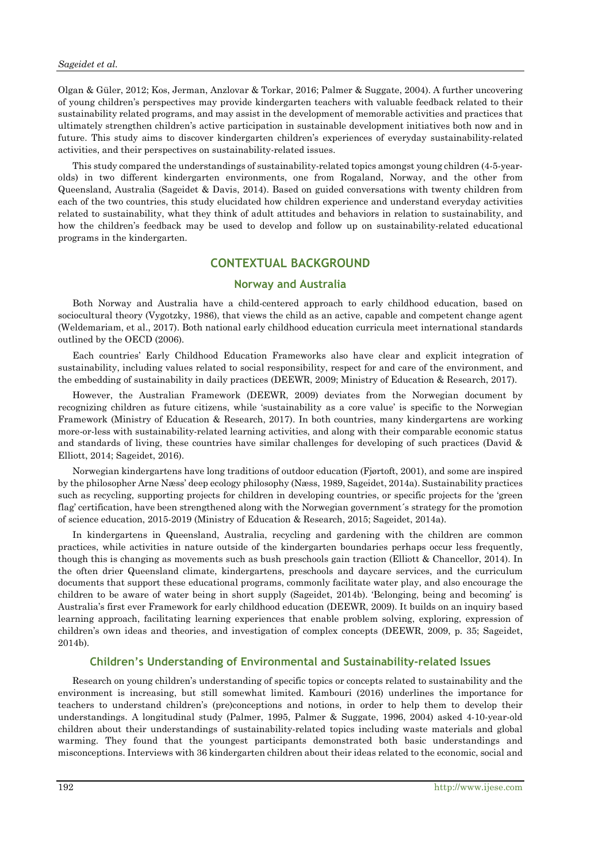Olgan & Güler, 2012; Kos, Jerman, Anzlovar & Torkar, 2016; Palmer & Suggate, 2004). A further uncovering of young children's perspectives may provide kindergarten teachers with valuable feedback related to their sustainability related programs, and may assist in the development of memorable activities and practices that ultimately strengthen children's active participation in sustainable development initiatives both now and in future. This study aims to discover kindergarten children's experiences of everyday sustainability-related activities, and their perspectives on sustainability-related issues.

This study compared the understandings of sustainability-related topics amongst young children (4-5-yearolds) in two different kindergarten environments, one from Rogaland, Norway, and the other from Queensland, Australia (Sageidet & Davis, 2014). Based on guided conversations with twenty children from each of the two countries, this study elucidated how children experience and understand everyday activities related to sustainability, what they think of adult attitudes and behaviors in relation to sustainability, and how the children's feedback may be used to develop and follow up on sustainability-related educational programs in the kindergarten.

# **CONTEXTUAL BACKGROUND**

## **Norway and Australia**

Both Norway and Australia have a child-centered approach to early childhood education, based on sociocultural theory (Vygotzky, 1986), that views the child as an active, capable and competent change agent (Weldemariam, et al., 2017). Both national early childhood education curricula meet international standards outlined by the OECD (2006).

Each countries' Early Childhood Education Frameworks also have clear and explicit integration of sustainability, including values related to social responsibility, respect for and care of the environment, and the embedding of sustainability in daily practices (DEEWR, 2009; Ministry of Education & Research, 2017).

However, the Australian Framework (DEEWR, 2009) deviates from the Norwegian document by recognizing children as future citizens, while 'sustainability as a core value' is specific to the Norwegian Framework (Ministry of Education & Research, 2017). In both countries, many kindergartens are working more-or-less with sustainability-related learning activities, and along with their comparable economic status and standards of living, these countries have similar challenges for developing of such practices (David & Elliott, 2014; Sageidet, 2016).

Norwegian kindergartens have long traditions of outdoor education (Fjørtoft, 2001), and some are inspired by the philosopher Arne Næss' deep ecology philosophy (Næss, 1989, Sageidet, 2014a). Sustainability practices such as recycling, supporting projects for children in developing countries, or specific projects for the 'green flag' certification, have been strengthened along with the Norwegian government´s strategy for the promotion of science education, 2015-2019 (Ministry of Education & Research, 2015; Sageidet, 2014a).

In kindergartens in Queensland, Australia, recycling and gardening with the children are common practices, while activities in nature outside of the kindergarten boundaries perhaps occur less frequently, though this is changing as movements such as bush preschools gain traction (Elliott & Chancellor, 2014). In the often drier Queensland climate, kindergartens, preschools and daycare services, and the curriculum documents that support these educational programs, commonly facilitate water play, and also encourage the children to be aware of water being in short supply (Sageidet, 2014b). 'Belonging, being and becoming' is Australia's first ever Framework for early childhood education (DEEWR, 2009). It builds on an inquiry based learning approach, facilitating learning experiences that enable problem solving, exploring, expression of children's own ideas and theories, and investigation of complex concepts (DEEWR, 2009, p. 35; Sageidet, 2014b).

#### **Children's Understanding of Environmental and Sustainability-related Issues**

Research on young children's understanding of specific topics or concepts related to sustainability and the environment is increasing, but still somewhat limited. Kambouri (2016) underlines the importance for teachers to understand children's (pre)conceptions and notions, in order to help them to develop their understandings. A longitudinal study (Palmer, 1995, Palmer & Suggate, 1996, 2004) asked 4-10-year-old children about their understandings of sustainability-related topics including waste materials and global warming. They found that the youngest participants demonstrated both basic understandings and misconceptions. Interviews with 36 kindergarten children about their ideas related to the economic, social and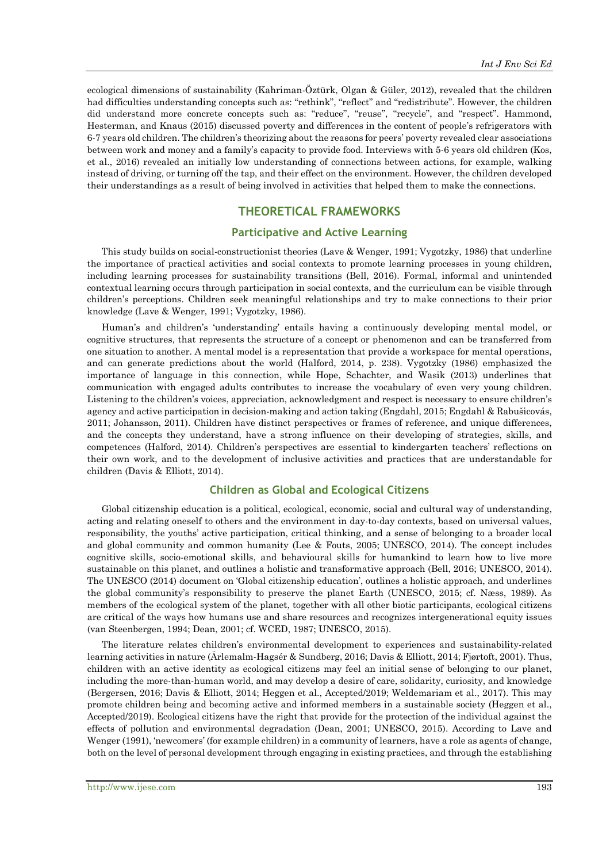ecological dimensions of sustainability (Kahriman-Öztürk, Olgan & Güler, 2012), revealed that the children had difficulties understanding concepts such as: "rethink", "reflect" and "redistribute". However, the children did understand more concrete concepts such as: "reduce", "reuse", "recycle", and "respect". Hammond, Hesterman, and Knaus (2015) discussed poverty and differences in the content of people's refrigerators with 6-7 years old children. The children's theorizing about the reasons for peers' poverty revealed clear associations between work and money and a family's capacity to provide food. Interviews with 5-6 years old children (Kos, et al., 2016) revealed an initially low understanding of connections between actions, for example, walking instead of driving, or turning off the tap, and their effect on the environment. However, the children developed their understandings as a result of being involved in activities that helped them to make the connections.

# **THEORETICAL FRAMEWORKS**

#### **Participative and Active Learning**

This study builds on social-constructionist theories (Lave & Wenger, 1991; Vygotzky, 1986) that underline the importance of practical activities and social contexts to promote learning processes in young children, including learning processes for sustainability transitions (Bell, 2016). Formal, informal and unintended contextual learning occurs through participation in social contexts, and the curriculum can be visible through children's perceptions. Children seek meaningful relationships and try to make connections to their prior knowledge (Lave & Wenger, 1991; Vygotzky, 1986).

Human's and children's 'understanding' entails having a continuously developing mental model, or cognitive structures, that represents the structure of a concept or phenomenon and can be transferred from one situation to another. A mental model is a representation that provide a workspace for mental operations, and can generate predictions about the world (Halford, 2014, p. 238). Vygotzky (1986) emphasized the importance of language in this connection, while Hope, Schachter, and Wasik (2013) underlines that communication with engaged adults contributes to increase the vocabulary of even very young children. Listening to the children's voices, appreciation, acknowledgment and respect is necessary to ensure children's agency and active participation in decision-making and action taking (Engdahl, 2015; Engdahl & Rabušicovás, 2011; Johansson, 2011). Children have distinct perspectives or frames of reference, and unique differences, and the concepts they understand, have a strong influence on their developing of strategies, skills, and competences (Halford, 2014). Children's perspectives are essential to kindergarten teachers' reflections on their own work, and to the development of inclusive activities and practices that are understandable for children (Davis & Elliott, 2014).

# **Children as Global and Ecological Citizens**

Global citizenship education is a political, ecological, economic, social and cultural way of understanding, acting and relating oneself to others and the environment in day-to-day contexts, based on universal values, responsibility, the youths' active participation, critical thinking, and a sense of belonging to a broader local and global community and common humanity (Lee & Fouts, 2005; UNESCO, 2014). The concept includes cognitive skills, socio-emotional skills, and behavioural skills for humankind to learn how to live more sustainable on this planet, and outlines a holistic and transformative approach (Bell, 2016; UNESCO, 2014). The UNESCO (2014) document on 'Global citizenship education', outlines a holistic approach, and underlines the global community's responsibility to preserve the planet Earth (UNESCO, 2015; cf. Næss, 1989). As members of the ecological system of the planet, together with all other biotic participants, ecological citizens are critical of the ways how humans use and share resources and recognizes intergenerational equity issues (van Steenbergen, 1994; Dean, 2001; cf. WCED, 1987; UNESCO, 2015).

The literature relates children's environmental development to experiences and sustainability-related learning activities in nature (Ärlemalm-Hagsér & Sundberg, 2016; Davis & Elliott, 2014; Fjørtoft, 2001). Thus, children with an active identity as ecological citizens may feel an initial sense of belonging to our planet, including the more-than-human world, and may develop a desire of care, solidarity, curiosity, and knowledge (Bergersen, 2016; Davis & Elliott, 2014; Heggen et al., Accepted/2019; Weldemariam et al., 2017). This may promote children being and becoming active and informed members in a sustainable society (Heggen et al., Accepted/2019). Ecological citizens have the right that provide for the protection of the individual against the effects of pollution and environmental degradation (Dean, 2001; UNESCO, 2015). According to Lave and Wenger (1991), 'newcomers' (for example children) in a community of learners, have a role as agents of change, both on the level of personal development through engaging in existing practices, and through the establishing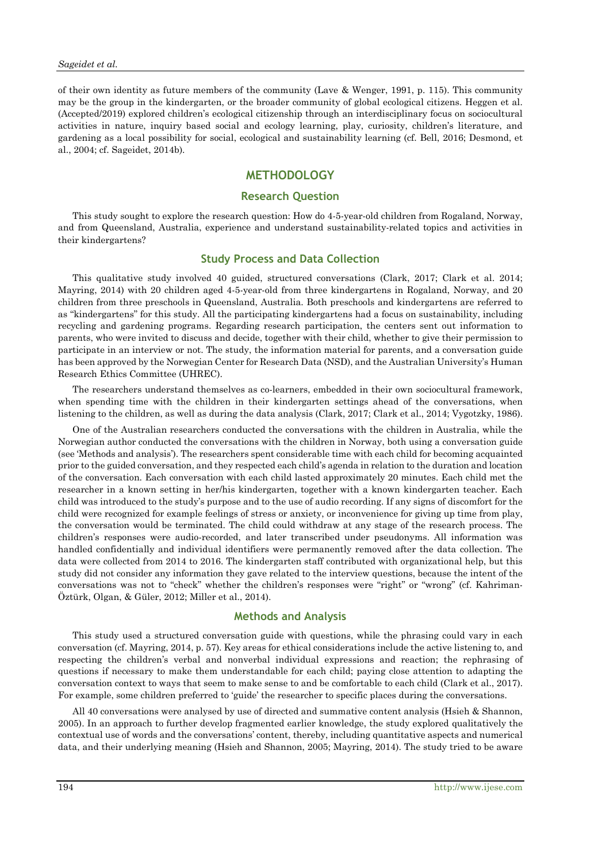of their own identity as future members of the community (Lave & Wenger, 1991, p. 115). This community may be the group in the kindergarten, or the broader community of global ecological citizens. Heggen et al. (Accepted/2019) explored children's ecological citizenship through an interdisciplinary focus on sociocultural activities in nature, inquiry based social and ecology learning, play, curiosity, children's literature, and gardening as a local possibility for social, ecological and sustainability learning (cf. Bell, 2016; Desmond, et al., 2004; cf. Sageidet, 2014b).

# **METHODOLOGY**

# **Research Question**

This study sought to explore the research question: How do 4-5-year-old children from Rogaland, Norway, and from Queensland, Australia, experience and understand sustainability-related topics and activities in their kindergartens?

#### **Study Process and Data Collection**

This qualitative study involved 40 guided, structured conversations (Clark, 2017; Clark et al. 2014; Mayring, 2014) with 20 children aged 4-5-year-old from three kindergartens in Rogaland, Norway, and 20 children from three preschools in Queensland, Australia. Both preschools and kindergartens are referred to as "kindergartens" for this study. All the participating kindergartens had a focus on sustainability, including recycling and gardening programs. Regarding research participation, the centers sent out information to parents, who were invited to discuss and decide, together with their child, whether to give their permission to participate in an interview or not. The study, the information material for parents, and a conversation guide has been approved by the Norwegian Center for Research Data (NSD), and the Australian University's Human Research Ethics Committee (UHREC).

The researchers understand themselves as co-learners, embedded in their own sociocultural framework, when spending time with the children in their kindergarten settings ahead of the conversations, when listening to the children, as well as during the data analysis (Clark, 2017; Clark et al., 2014; Vygotzky, 1986).

One of the Australian researchers conducted the conversations with the children in Australia, while the Norwegian author conducted the conversations with the children in Norway, both using a conversation guide (see 'Methods and analysis'). The researchers spent considerable time with each child for becoming acquainted prior to the guided conversation, and they respected each child's agenda in relation to the duration and location of the conversation. Each conversation with each child lasted approximately 20 minutes. Each child met the researcher in a known setting in her/his kindergarten, together with a known kindergarten teacher. Each child was introduced to the study's purpose and to the use of audio recording. If any signs of discomfort for the child were recognized for example feelings of stress or anxiety, or inconvenience for giving up time from play, the conversation would be terminated. The child could withdraw at any stage of the research process. The children's responses were audio-recorded, and later transcribed under pseudonyms. All information was handled confidentially and individual identifiers were permanently removed after the data collection. The data were collected from 2014 to 2016. The kindergarten staff contributed with organizational help, but this study did not consider any information they gave related to the interview questions, because the intent of the conversations was not to "check" whether the children's responses were "right" or "wrong" (cf. Kahriman-Öztürk, Olgan, & Güler, 2012; Miller et al., 2014).

#### **Methods and Analysis**

This study used a structured conversation guide with questions, while the phrasing could vary in each conversation (cf. Mayring, 2014, p. 57). Key areas for ethical considerations include the active listening to, and respecting the children's verbal and nonverbal individual expressions and reaction; the rephrasing of questions if necessary to make them understandable for each child; paying close attention to adapting the conversation context to ways that seem to make sense to and be comfortable to each child (Clark et al., 2017). For example, some children preferred to 'guide' the researcher to specific places during the conversations.

All 40 conversations were analysed by use of directed and summative content analysis (Hsieh & Shannon, 2005). In an approach to further develop fragmented earlier knowledge, the study explored qualitatively the contextual use of words and the conversations' content, thereby, including quantitative aspects and numerical data, and their underlying meaning (Hsieh and Shannon, 2005; Mayring, 2014). The study tried to be aware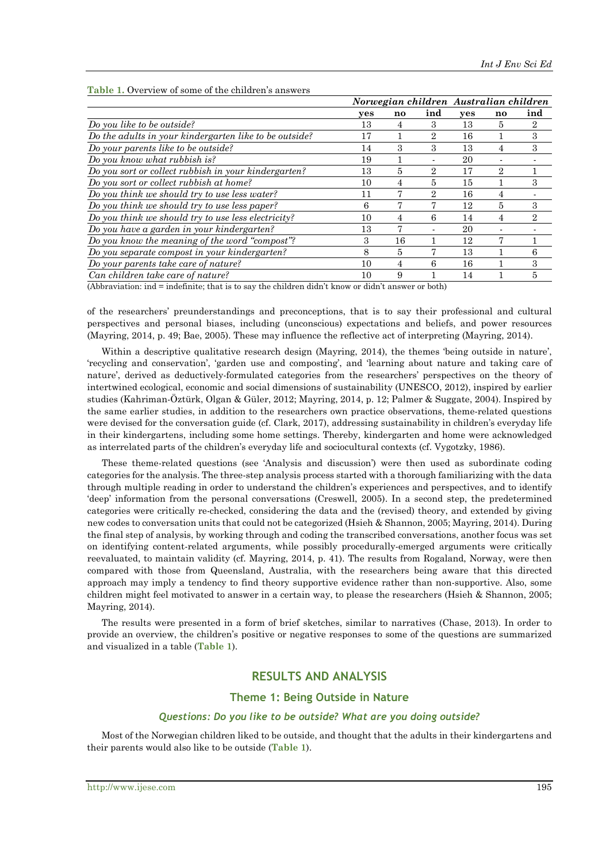|                                                        |     |    |                | Norwegian children Australian children |                |     |
|--------------------------------------------------------|-----|----|----------------|----------------------------------------|----------------|-----|
|                                                        | yes | no | ind            | yes                                    | $\mathbf{no}$  | ind |
| Do you like to be outside?                             | 13  | 4  | 3              | 13                                     | 5              | 2   |
| Do the adults in your kindergarten like to be outside? | 17  |    | $\overline{2}$ | 16                                     |                | 3   |
| Do your parents like to be outside?                    | 14  | 3  | 3              | 13                                     | 4              | 3   |
| Do you know what rubbish is?                           | 19  |    |                | 20                                     |                |     |
| Do you sort or collect rubbish in your kindergarten?   | 13  | 5  | $\overline{2}$ | 17                                     | $\overline{2}$ |     |
| Do you sort or collect rubbish at home?                | 10  | 4  | 5              | 15                                     |                | 3   |
| Do you think we should try to use less water?          | 11  | 7  | 2              | 16                                     |                |     |
| Do you think we should try to use less paper?          | 6   |    |                | 12                                     | 5              | 3   |
| Do you think we should try to use less electricity?    | 10  | 4  | 6              | 14                                     | 4              | 2   |
| Do you have a garden in your kindergarten?             | 13  | 7  |                | 20                                     |                |     |
| Do you know the meaning of the word "compost"?         | з   | 16 |                | 12                                     |                |     |
| Do you separate compost in your kindergarten?          | 8   | 5  |                | 13                                     |                | 6   |
| Do your parents take care of nature?                   | 10  | 4  | 6              | 16                                     |                | 3   |
| Can children take care of nature?                      | 10  | 9  |                | 14                                     |                | 5   |

#### **Table 1.** Overview of some of the children's answers

(Abbraviation: ind = indefinite; that is to say the children didn't know or didn't answer or both)

of the researchers' preunderstandings and preconceptions, that is to say their professional and cultural perspectives and personal biases, including (unconscious) expectations and beliefs, and power resources (Mayring, 2014, p. 49; Bae, 2005). These may influence the reflective act of interpreting (Mayring, 2014).

Within a descriptive qualitative research design (Mayring, 2014), the themes 'being outside in nature', 'recycling and conservation', 'garden use and composting', and 'learning about nature and taking care of nature', derived as deductively-formulated categories from the researchers' perspectives on the theory of intertwined ecological, economic and social dimensions of sustainability (UNESCO, 2012), inspired by earlier studies (Kahriman-Öztürk, Olgan & Güler, 2012; Mayring, 2014, p. 12; Palmer & Suggate, 2004). Inspired by the same earlier studies, in addition to the researchers own practice observations, theme-related questions were devised for the conversation guide (cf. Clark, 2017), addressing sustainability in children's everyday life in their kindergartens, including some home settings. Thereby, kindergarten and home were acknowledged as interrelated parts of the children's everyday life and sociocultural contexts (cf. Vygotzky, 1986).

These theme-related questions (see 'Analysis and discussion') were then used as subordinate coding categories for the analysis. The three-step analysis process started with a thorough familiarizing with the data through multiple reading in order to understand the children's experiences and perspectives, and to identify 'deep' information from the personal conversations (Creswell, 2005). In a second step, the predetermined categories were critically re-checked, considering the data and the (revised) theory, and extended by giving new codes to conversation units that could not be categorized (Hsieh & Shannon, 2005; Mayring, 2014). During the final step of analysis, by working through and coding the transcribed conversations, another focus was set on identifying content-related arguments, while possibly procedurally-emerged arguments were critically reevaluated, to maintain validity (cf. Mayring, 2014, p. 41). The results from Rogaland, Norway, were then compared with those from Queensland, Australia, with the researchers being aware that this directed approach may imply a tendency to find theory supportive evidence rather than non-supportive. Also, some children might feel motivated to answer in a certain way, to please the researchers (Hsieh & Shannon, 2005; Mayring, 2014).

The results were presented in a form of brief sketches, similar to narratives (Chase, 2013). In order to provide an overview, the children's positive or negative responses to some of the questions are summarized and visualized in a table (**Table 1**).

## **RESULTS AND ANALYSIS**

#### **Theme 1: Being Outside in Nature**

## *Questions: Do you like to be outside? What are you doing outside?*

Most of the Norwegian children liked to be outside, and thought that the adults in their kindergartens and their parents would also like to be outside (**Table 1**).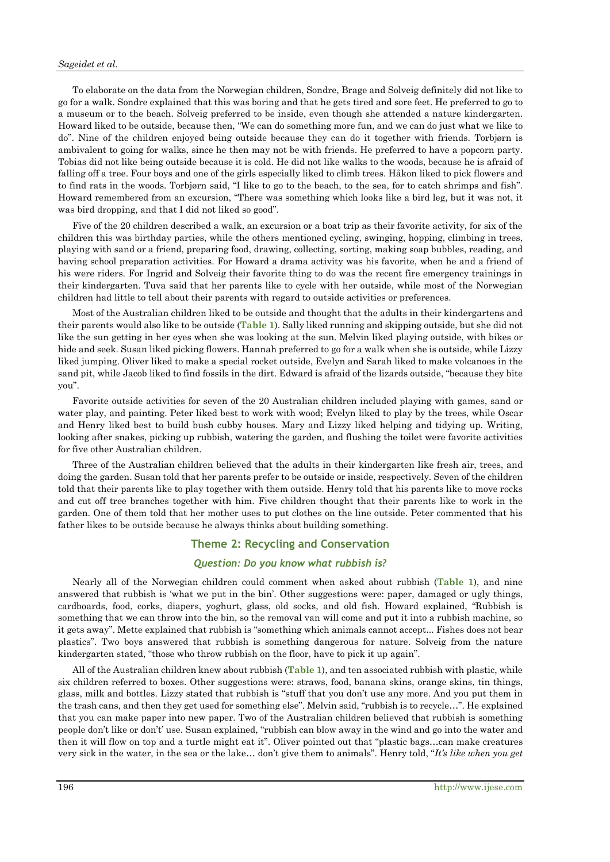#### *Sageidet et al.*

To elaborate on the data from the Norwegian children, Sondre, Brage and Solveig definitely did not like to go for a walk. Sondre explained that this was boring and that he gets tired and sore feet. He preferred to go to a museum or to the beach. Solveig preferred to be inside, even though she attended a nature kindergarten. Howard liked to be outside, because then, "We can do something more fun, and we can do just what we like to do". Nine of the children enjoyed being outside because they can do it together with friends. Torbjørn is ambivalent to going for walks, since he then may not be with friends. He preferred to have a popcorn party. Tobias did not like being outside because it is cold. He did not like walks to the woods, because he is afraid of falling off a tree. Four boys and one of the girls especially liked to climb trees. Håkon liked to pick flowers and to find rats in the woods. Torbjørn said, "I like to go to the beach, to the sea, for to catch shrimps and fish". Howard remembered from an excursion, "There was something which looks like a bird leg, but it was not, it was bird dropping, and that I did not liked so good".

Five of the 20 children described a walk, an excursion or a boat trip as their favorite activity, for six of the children this was birthday parties, while the others mentioned cycling, swinging, hopping, climbing in trees, playing with sand or a friend, preparing food, drawing, collecting, sorting, making soap bubbles, reading, and having school preparation activities. For Howard a drama activity was his favorite, when he and a friend of his were riders. For Ingrid and Solveig their favorite thing to do was the recent fire emergency trainings in their kindergarten. Tuva said that her parents like to cycle with her outside, while most of the Norwegian children had little to tell about their parents with regard to outside activities or preferences.

Most of the Australian children liked to be outside and thought that the adults in their kindergartens and their parents would also like to be outside (**Table 1**). Sally liked running and skipping outside, but she did not like the sun getting in her eyes when she was looking at the sun. Melvin liked playing outside, with bikes or hide and seek. Susan liked picking flowers. Hannah preferred to go for a walk when she is outside, while Lizzy liked jumping. Oliver liked to make a special rocket outside, Evelyn and Sarah liked to make volcanoes in the sand pit, while Jacob liked to find fossils in the dirt. Edward is afraid of the lizards outside, "because they bite you".

Favorite outside activities for seven of the 20 Australian children included playing with games, sand or water play, and painting. Peter liked best to work with wood; Evelyn liked to play by the trees, while Oscar and Henry liked best to build bush cubby houses. Mary and Lizzy liked helping and tidying up. Writing, looking after snakes, picking up rubbish, watering the garden, and flushing the toilet were favorite activities for five other Australian children.

Three of the Australian children believed that the adults in their kindergarten like fresh air, trees, and doing the garden. Susan told that her parents prefer to be outside or inside, respectively. Seven of the children told that their parents like to play together with them outside. Henry told that his parents like to move rocks and cut off tree branches together with him. Five children thought that their parents like to work in the garden. One of them told that her mother uses to put clothes on the line outside. Peter commented that his father likes to be outside because he always thinks about building something.

## **Theme 2: Recycling and Conservation**

#### *Question: Do you know what rubbish is?*

Nearly all of the Norwegian children could comment when asked about rubbish (**Table 1**), and nine answered that rubbish is 'what we put in the bin'. Other suggestions were: paper, damaged or ugly things, cardboards, food, corks, diapers, yoghurt, glass, old socks, and old fish. Howard explained, "Rubbish is something that we can throw into the bin, so the removal van will come and put it into a rubbish machine, so it gets away". Mette explained that rubbish is "something which animals cannot accept... Fishes does not bear plastics". Two boys answered that rubbish is something dangerous for nature. Solveig from the nature kindergarten stated, "those who throw rubbish on the floor, have to pick it up again".

All of the Australian children knew about rubbish (**Table 1**), and ten associated rubbish with plastic, while six children referred to boxes. Other suggestions were: straws, food, banana skins, orange skins, tin things, glass, milk and bottles. Lizzy stated that rubbish is "stuff that you don't use any more. And you put them in the trash cans, and then they get used for something else". Melvin said, "rubbish is to recycle…". He explained that you can make paper into new paper. Two of the Australian children believed that rubbish is something people don't like or don't' use. Susan explained, "rubbish can blow away in the wind and go into the water and then it will flow on top and a turtle might eat it". Oliver pointed out that "plastic bags…can make creatures very sick in the water, in the sea or the lake… don't give them to animals". Henry told, "*It's like when you get*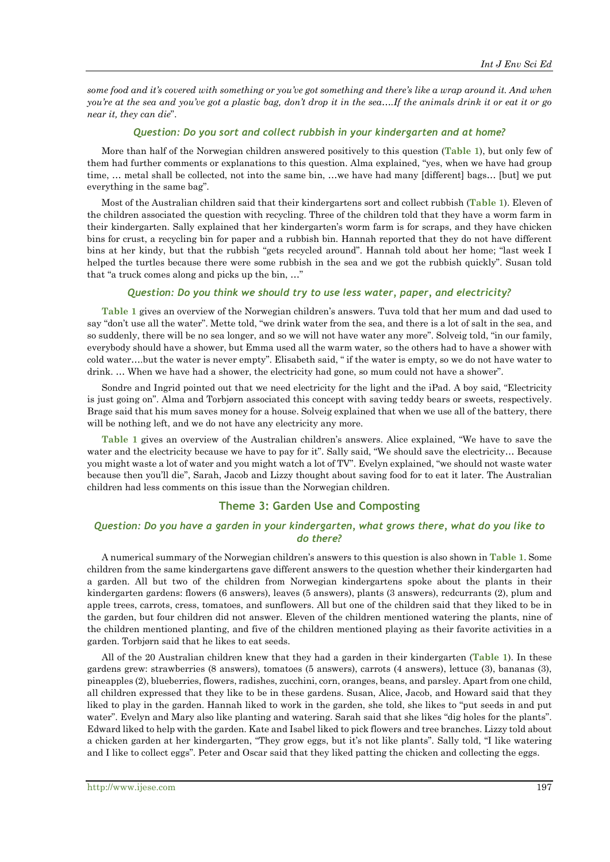some food and it's covered with something or you've got something and there's like a wrap around it. And when you're at the sea and you've got a plastic bag, don't drop it in the sea....If the animals drink it or eat it or go *near it, they can die*".

#### *Question: Do you sort and collect rubbish in your kindergarten and at home?*

More than half of the Norwegian children answered positively to this question (**Table 1**), but only few of them had further comments or explanations to this question. Alma explained, "yes, when we have had group time, ... metal shall be collected, not into the same bin, ...we have had many [different] bags... [but] we put everything in the same bag".

Most of the Australian children said that their kindergartens sort and collect rubbish (**Table 1**). Eleven of the children associated the question with recycling. Three of the children told that they have a worm farm in their kindergarten. Sally explained that her kindergarten's worm farm is for scraps, and they have chicken bins for crust, a recycling bin for paper and a rubbish bin. Hannah reported that they do not have different bins at her kindy, but that the rubbish "gets recycled around". Hannah told about her home; "last week I helped the turtles because there were some rubbish in the sea and we got the rubbish quickly". Susan told that "a truck comes along and picks up the bin, …"

#### *Question: Do you think we should try to use less water, paper, and electricity?*

**Table 1** gives an overview of the Norwegian children's answers. Tuva told that her mum and dad used to say "don't use all the water". Mette told, "we drink water from the sea, and there is a lot of salt in the sea, and so suddenly, there will be no sea longer, and so we will not have water any more". Solveig told, "in our family, everybody should have a shower, but Emma used all the warm water, so the others had to have a shower with cold water….but the water is never empty". Elisabeth said, " if the water is empty, so we do not have water to drink. ... When we have had a shower, the electricity had gone, so mum could not have a shower".

Sondre and Ingrid pointed out that we need electricity for the light and the iPad. A boy said, "Electricity is just going on". Alma and Torbjørn associated this concept with saving teddy bears or sweets, respectively. Brage said that his mum saves money for a house. Solveig explained that when we use all of the battery, there will be nothing left, and we do not have any electricity any more.

**Table 1** gives an overview of the Australian children's answers. Alice explained, "We have to save the water and the electricity because we have to pay for it". Sally said, "We should save the electricity... Because you might waste a lot of water and you might watch a lot of TV". Evelyn explained, "we should not waste water because then you'll die", Sarah, Jacob and Lizzy thought about saving food for to eat it later. The Australian children had less comments on this issue than the Norwegian children.

#### **Theme 3: Garden Use and Composting**

#### *Question: Do you have a garden in your kindergarten, what grows there, what do you like to do there?*

A numerical summary of the Norwegian children's answers to this question is also shown in **Table 1**. Some children from the same kindergartens gave different answers to the question whether their kindergarten had a garden. All but two of the children from Norwegian kindergartens spoke about the plants in their kindergarten gardens: flowers (6 answers), leaves (5 answers), plants (3 answers), redcurrants (2), plum and apple trees, carrots, cress, tomatoes, and sunflowers. All but one of the children said that they liked to be in the garden, but four children did not answer. Eleven of the children mentioned watering the plants, nine of the children mentioned planting, and five of the children mentioned playing as their favorite activities in a garden. Torbjørn said that he likes to eat seeds.

All of the 20 Australian children knew that they had a garden in their kindergarten (**Table 1**). In these gardens grew: strawberries (8 answers), tomatoes (5 answers), carrots (4 answers), lettuce (3), bananas (3), pineapples (2), blueberries, flowers, radishes, zucchini, corn, oranges, beans, and parsley. Apart from one child, all children expressed that they like to be in these gardens. Susan, Alice, Jacob, and Howard said that they liked to play in the garden. Hannah liked to work in the garden, she told, she likes to "put seeds in and put water". Evelyn and Mary also like planting and watering. Sarah said that she likes "dig holes for the plants". Edward liked to help with the garden. Kate and Isabel liked to pick flowers and tree branches. Lizzy told about a chicken garden at her kindergarten, "They grow eggs, but it's not like plants". Sally told, "I like watering and I like to collect eggs". Peter and Oscar said that they liked patting the chicken and collecting the eggs.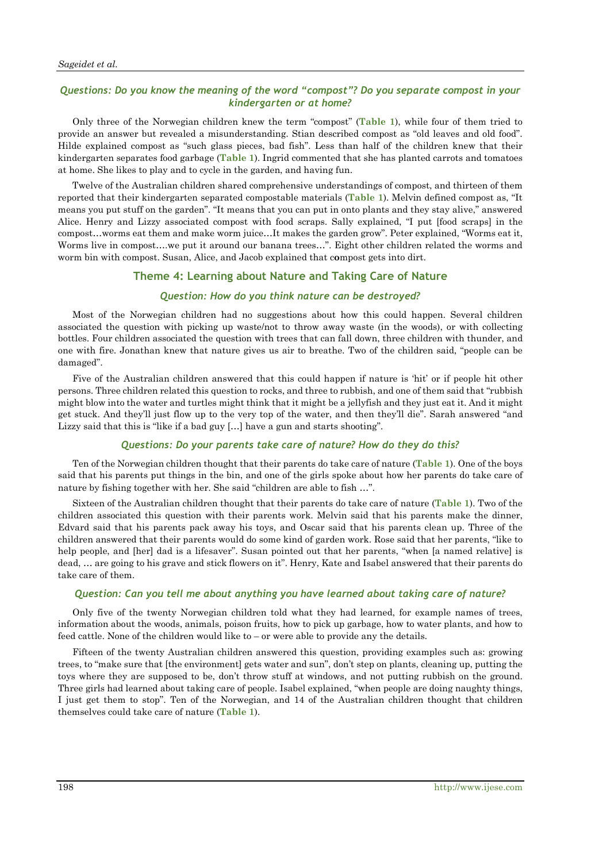# *Questions: Do you know the meaning of the word "compost"? Do you separate compost in your kindergarten or at home?*

Only three of the Norwegian children knew the term "compost" (**Table 1**), while four of them tried to provide an answer but revealed a misunderstanding. Stian described compost as "old leaves and old food". Hilde explained compost as "such glass pieces, bad fish". Less than half of the children knew that their kindergarten separates food garbage (**Table 1**). Ingrid commented that she has planted carrots and tomatoes at home. She likes to play and to cycle in the garden, and having fun.

Twelve of the Australian children shared comprehensive understandings of compost, and thirteen of them reported that their kindergarten separated compostable materials (**Table 1**). Melvin defined compost as, "It means you put stuff on the garden". "It means that you can put in onto plants and they stay alive," answered Alice. Henry and Lizzy associated compost with food scraps. Sally explained, "I put [food scraps] in the compost…worms eat them and make worm juice…It makes the garden grow". Peter explained, "Worms eat it, Worms live in compost….we put it around our banana trees…". Eight other children related the worms and worm bin with compost. Susan, Alice, and Jacob explained that c**o**mpost gets into dirt.

#### **Theme 4: Learning about Nature and Taking Care of Nature**

#### *Question: How do you think nature can be destroyed?*

Most of the Norwegian children had no suggestions about how this could happen. Several children associated the question with picking up waste/not to throw away waste (in the woods), or with collecting bottles. Four children associated the question with trees that can fall down, three children with thunder, and one with fire. Jonathan knew that nature gives us air to breathe. Two of the children said, "people can be damaged".

Five of the Australian children answered that this could happen if nature is 'hit' or if people hit other persons. Three children related this question to rocks, and three to rubbish, and one of them said that "rubbish might blow into the water and turtles might think that it might be a jellyfish and they just eat it. And it might get stuck. And they'll just flow up to the very top of the water, and then they'll die". Sarah answered "and Lizzy said that this is "like if a bad guy [...] have a gun and starts shooting".

#### *Questions: Do your parents take care of nature? How do they do this?*

Ten of the Norwegian children thought that their parents do take care of nature (**Table 1**). One of the boys said that his parents put things in the bin, and one of the girls spoke about how her parents do take care of nature by fishing together with her. She said "children are able to fish …".

Sixteen of the Australian children thought that their parents do take care of nature (**Table 1**). Two of the children associated this question with their parents work. Melvin said that his parents make the dinner, Edvard said that his parents pack away his toys, and Oscar said that his parents clean up. Three of the children answered that their parents would do some kind of garden work. Rose said that her parents, "like to help people, and [her] dad is a lifesaver". Susan pointed out that her parents, "when [a named relative] is dead, … are going to his grave and stick flowers on it". Henry, Kate and Isabel answered that their parents do take care of them.

#### *Question: Can you tell me about anything you have learned about taking care of nature?*

Only five of the twenty Norwegian children told what they had learned, for example names of trees, information about the woods, animals, poison fruits, how to pick up garbage, how to water plants, and how to feed cattle. None of the children would like to – or were able to provide any the details.

Fifteen of the twenty Australian children answered this question, providing examples such as: growing trees, to "make sure that [the environment] gets water and sun", don't step on plants, cleaning up, putting the toys where they are supposed to be, don't throw stuff at windows, and not putting rubbish on the ground. Three girls had learned about taking care of people. Isabel explained, "when people are doing naughty things, I just get them to stop". Ten of the Norwegian, and 14 of the Australian children thought that children themselves could take care of nature (**Table 1**).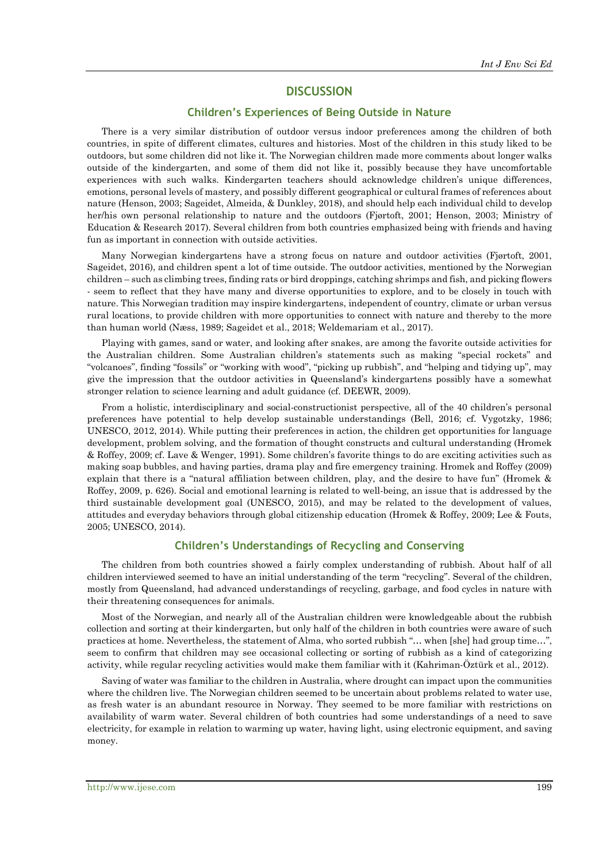## **DISCUSSION**

## **Children's Experiences of Being Outside in Nature**

There is a very similar distribution of outdoor versus indoor preferences among the children of both countries, in spite of different climates, cultures and histories. Most of the children in this study liked to be outdoors, but some children did not like it. The Norwegian children made more comments about longer walks outside of the kindergarten, and some of them did not like it, possibly because they have uncomfortable experiences with such walks. Kindergarten teachers should acknowledge children's unique differences, emotions, personal levels of mastery, and possibly different geographical or cultural frames of references about nature (Henson, 2003; Sageidet, Almeida, & Dunkley, 2018), and should help each individual child to develop her/his own personal relationship to nature and the outdoors (Fjørtoft, 2001; Henson, 2003; Ministry of Education & Research 2017). Several children from both countries emphasized being with friends and having fun as important in connection with outside activities.

Many Norwegian kindergartens have a strong focus on nature and outdoor activities (Fjørtoft, 2001, Sageidet, 2016), and children spent a lot of time outside. The outdoor activities, mentioned by the Norwegian children – such as climbing trees, finding rats or bird droppings, catching shrimps and fish, and picking flowers - seem to reflect that they have many and diverse opportunities to explore, and to be closely in touch with nature. This Norwegian tradition may inspire kindergartens, independent of country, climate or urban versus rural locations, to provide children with more opportunities to connect with nature and thereby to the more than human world (Næss, 1989; Sageidet et al., 2018; Weldemariam et al., 2017).

Playing with games, sand or water, and looking after snakes, are among the favorite outside activities for the Australian children. Some Australian children's statements such as making "special rockets" and "volcanoes", finding "fossils" or "working with wood", "picking up rubbish", and "helping and tidying up", may give the impression that the outdoor activities in Queensland's kindergartens possibly have a somewhat stronger relation to science learning and adult guidance (cf. DEEWR, 2009).

From a holistic, interdisciplinary and social-constructionist perspective, all of the 40 children's personal preferences have potential to help develop sustainable understandings (Bell, 2016; cf. Vygotzky, 1986; UNESCO, 2012, 2014). While putting their preferences in action, the children get opportunities for language development, problem solving, and the formation of thought constructs and cultural understanding (Hromek & Roffey, 2009; cf. Lave & Wenger, 1991). Some children's favorite things to do are exciting activities such as making soap bubbles, and having parties, drama play and fire emergency training. Hromek and Roffey (2009) explain that there is a "natural affiliation between children, play, and the desire to have fun" (Hromek & Roffey, 2009, p. 626). Social and emotional learning is related to well-being, an issue that is addressed by the third sustainable development goal (UNESCO, 2015), and may be related to the development of values, attitudes and everyday behaviors through global citizenship education (Hromek & Roffey, 2009; Lee & Fouts, 2005; UNESCO, 2014).

#### **Children's Understandings of Recycling and Conserving**

The children from both countries showed a fairly complex understanding of rubbish. About half of all children interviewed seemed to have an initial understanding of the term "recycling". Several of the children, mostly from Queensland, had advanced understandings of recycling, garbage, and food cycles in nature with their threatening consequences for animals.

Most of the Norwegian, and nearly all of the Australian children were knowledgeable about the rubbish collection and sorting at their kindergarten, but only half of the children in both countries were aware of such practices at home. Nevertheless, the statement of Alma, who sorted rubbish "… when [she] had group time…", seem to confirm that children may see occasional collecting or sorting of rubbish as a kind of categorizing activity, while regular recycling activities would make them familiar with it (Kahriman-Öztürk et al., 2012).

Saving of water was familiar to the children in Australia, where drought can impact upon the communities where the children live. The Norwegian children seemed to be uncertain about problems related to water use, as fresh water is an abundant resource in Norway. They seemed to be more familiar with restrictions on availability of warm water. Several children of both countries had some understandings of a need to save electricity, for example in relation to warming up water, having light, using electronic equipment, and saving money.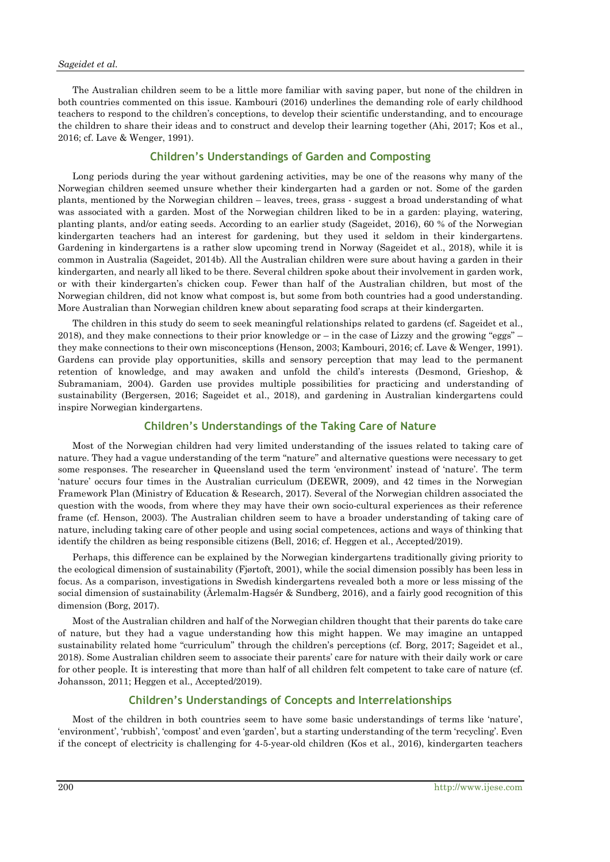#### *Sageidet et al.*

The Australian children seem to be a little more familiar with saving paper, but none of the children in both countries commented on this issue. Kambouri (2016) underlines the demanding role of early childhood teachers to respond to the children's conceptions, to develop their scientific understanding, and to encourage the children to share their ideas and to construct and develop their learning together (Ahi, 2017; Kos et al., 2016; cf. Lave & Wenger, 1991).

## **Children's Understandings of Garden and Composting**

Long periods during the year without gardening activities, may be one of the reasons why many of the Norwegian children seemed unsure whether their kindergarten had a garden or not. Some of the garden plants, mentioned by the Norwegian children – leaves, trees, grass - suggest a broad understanding of what was associated with a garden. Most of the Norwegian children liked to be in a garden: playing, watering, planting plants, and/or eating seeds. According to an earlier study (Sageidet, 2016), 60 % of the Norwegian kindergarten teachers had an interest for gardening, but they used it seldom in their kindergartens. Gardening in kindergartens is a rather slow upcoming trend in Norway (Sageidet et al., 2018), while it is common in Australia (Sageidet, 2014b). All the Australian children were sure about having a garden in their kindergarten, and nearly all liked to be there. Several children spoke about their involvement in garden work, or with their kindergarten's chicken coup. Fewer than half of the Australian children, but most of the Norwegian children, did not know what compost is, but some from both countries had a good understanding. More Australian than Norwegian children knew about separating food scraps at their kindergarten.

The children in this study do seem to seek meaningful relationships related to gardens (cf. Sageidet et al., 2018), and they make connections to their prior knowledge or – in the case of Lizzy and the growing "eggs" – they make connections to their own misconceptions (Henson, 2003; Kambouri, 2016; cf. Lave & Wenger, 1991). Gardens can provide play opportunities, skills and sensory perception that may lead to the permanent retention of knowledge, and may awaken and unfold the child's interests (Desmond, Grieshop, & Subramaniam, 2004). Garden use provides multiple possibilities for practicing and understanding of sustainability (Bergersen, 2016; Sageidet et al., 2018), and gardening in Australian kindergartens could inspire Norwegian kindergartens.

## **Children's Understandings of the Taking Care of Nature**

Most of the Norwegian children had very limited understanding of the issues related to taking care of nature. They had a vague understanding of the term "nature" and alternative questions were necessary to get some responses. The researcher in Queensland used the term 'environment' instead of 'nature'. The term 'nature' occurs four times in the Australian curriculum (DEEWR, 2009), and 42 times in the Norwegian Framework Plan (Ministry of Education & Research, 2017). Several of the Norwegian children associated the question with the woods, from where they may have their own socio-cultural experiences as their reference frame (cf. Henson, 2003). The Australian children seem to have a broader understanding of taking care of nature, including taking care of other people and using social competences, actions and ways of thinking that identify the children as being responsible citizens (Bell, 2016; cf. Heggen et al., Accepted/2019).

Perhaps, this difference can be explained by the Norwegian kindergartens traditionally giving priority to the ecological dimension of sustainability (Fjørtoft, 2001), while the social dimension possibly has been less in focus. As a comparison, investigations in Swedish kindergartens revealed both a more or less missing of the social dimension of sustainability (Ärlemalm-Hagsér & Sundberg, 2016), and a fairly good recognition of this dimension (Borg, 2017).

Most of the Australian children and half of the Norwegian children thought that their parents do take care of nature, but they had a vague understanding how this might happen. We may imagine an untapped sustainability related home "curriculum" through the children's perceptions (cf. Borg, 2017; Sageidet et al., 2018). Some Australian children seem to associate their parents' care for nature with their daily work or care for other people. It is interesting that more than half of all children felt competent to take care of nature (cf. Johansson, 2011; Heggen et al., Accepted/2019).

#### **Children's Understandings of Concepts and Interrelationships**

Most of the children in both countries seem to have some basic understandings of terms like 'nature', 'environment', 'rubbish', 'compost' and even 'garden', but a starting understanding of the term 'recycling'. Even if the concept of electricity is challenging for 4-5-year-old children (Kos et al., 2016), kindergarten teachers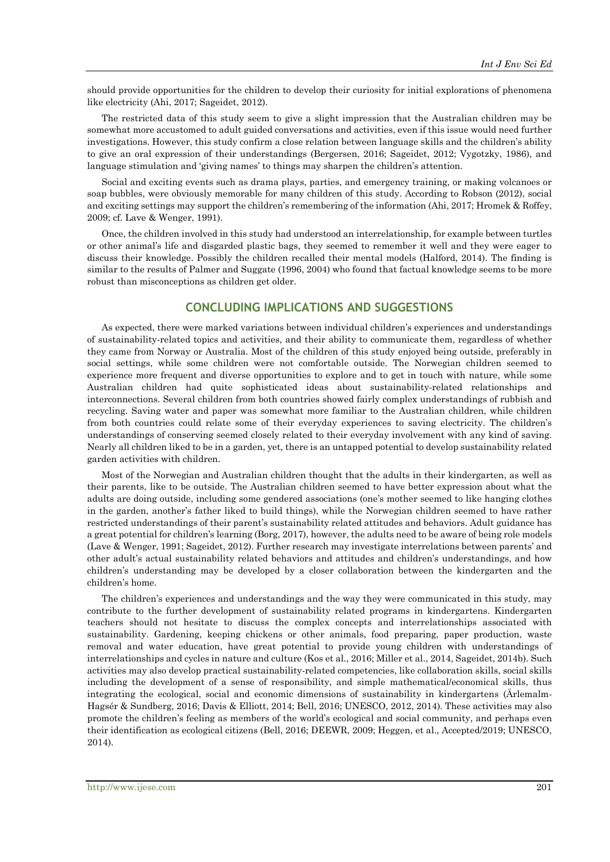should provide opportunities for the children to develop their curiosity for initial explorations of phenomena like electricity (Ahi, 2017; Sageidet, 2012).

The restricted data of this study seem to give a slight impression that the Australian children may be somewhat more accustomed to adult guided conversations and activities, even if this issue would need further investigations. However, this study confirm a close relation between language skills and the children's ability to give an oral expression of their understandings (Bergersen, 2016; Sageidet, 2012; Vygotzky, 1986), and language stimulation and 'giving names' to things may sharpen the children's attention.

Social and exciting events such as drama plays, parties, and emergency training, or making volcanoes or soap bubbles, were obviously memorable for many children of this study. According to Robson (2012), social and exciting settings may support the children's remembering of the information (Ahi, 2017; Hromek & Roffey, 2009; cf. Lave & Wenger, 1991).

Once, the children involved in this study had understood an interrelationship, for example between turtles or other animal's life and disgarded plastic bags, they seemed to remember it well and they were eager to discuss their knowledge. Possibly the children recalled their mental models (Halford, 2014). The finding is similar to the results of Palmer and Suggate (1996, 2004) who found that factual knowledge seems to be more robust than misconceptions as children get older.

# **CONCLUDING IMPLICATIONS AND SUGGESTIONS**

As expected, there were marked variations between individual children's experiences and understandings of sustainability-related topics and activities, and their ability to communicate them, regardless of whether they came from Norway or Australia. Most of the children of this study enjoyed being outside, preferably in social settings, while some children were not comfortable outside. The Norwegian children seemed to experience more frequent and diverse opportunities to explore and to get in touch with nature, while some Australian children had quite sophisticated ideas about sustainability-related relationships and interconnections. Several children from both countries showed fairly complex understandings of rubbish and recycling. Saving water and paper was somewhat more familiar to the Australian children, while children from both countries could relate some of their everyday experiences to saving electricity. The children's understandings of conserving seemed closely related to their everyday involvement with any kind of saving. Nearly all children liked to be in a garden, yet, there is an untapped potential to develop sustainability related garden activities with children.

Most of the Norwegian and Australian children thought that the adults in their kindergarten, as well as their parents, like to be outside. The Australian children seemed to have better expression about what the adults are doing outside, including some gendered associations (one's mother seemed to like hanging clothes in the garden, another's father liked to build things), while the Norwegian children seemed to have rather restricted understandings of their parent's sustainability related attitudes and behaviors. Adult guidance has a great potential for children's learning (Borg, 2017), however, the adults need to be aware of being role models (Lave & Wenger, 1991; Sageidet, 2012). Further research may investigate interrelations between parents' and other adult's actual sustainability related behaviors and attitudes and children's understandings, and how children's understanding may be developed by a closer collaboration between the kindergarten and the children's home.

The children's experiences and understandings and the way they were communicated in this study, may contribute to the further development of sustainability related programs in kindergartens. Kindergarten teachers should not hesitate to discuss the complex concepts and interrelationships associated with sustainability. Gardening, keeping chickens or other animals, food preparing, paper production, waste removal and water education, have great potential to provide young children with understandings of interrelationships and cycles in nature and culture (Kos et al., 2016; Miller et al., 2014, Sageidet, 2014b). Such activities may also develop practical sustainability-related competencies, like collaboration skills, social skills including the development of a sense of responsibility, and simple mathematical/economical skills, thus integrating the ecological, social and economic dimensions of sustainability in kindergartens (Ärlemalm-Hagsér & Sundberg, 2016; Davis & Elliott, 2014; Bell, 2016; UNESCO, 2012, 2014). These activities may also promote the children's feeling as members of the world's ecological and social community, and perhaps even their identification as ecological citizens (Bell, 2016; DEEWR, 2009; Heggen, et al., Accepted/2019; UNESCO, 2014).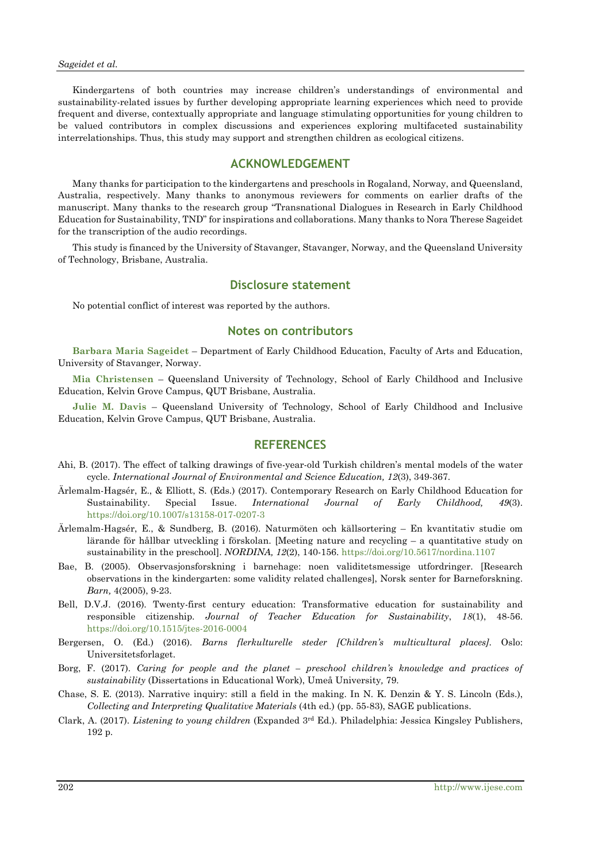Kindergartens of both countries may increase children's understandings of environmental and sustainability-related issues by further developing appropriate learning experiences which need to provide frequent and diverse, contextually appropriate and language stimulating opportunities for young children to be valued contributors in complex discussions and experiences exploring multifaceted sustainability interrelationships. Thus, this study may support and strengthen children as ecological citizens.

# **ACKNOWLEDGEMENT**

Many thanks for participation to the kindergartens and preschools in Rogaland, Norway, and Queensland, Australia, respectively. Many thanks to anonymous reviewers for comments on earlier drafts of the manuscript. Many thanks to the research group "Transnational Dialogues in Research in Early Childhood Education for Sustainability, TND" for inspirations and collaborations. Many thanks to Nora Therese Sageidet for the transcription of the audio recordings.

This study is financed by the University of Stavanger, Stavanger, Norway, and the Queensland University of Technology, Brisbane, Australia.

# **Disclosure statement**

No potential conflict of interest was reported by the authors.

# **Notes on contributors**

**Barbara Maria Sageidet** – Department of Early Childhood Education, Faculty of Arts and Education, University of Stavanger, Norway.

**Mia Christensen** – Queensland University of Technology, School of Early Childhood and Inclusive Education, Kelvin Grove Campus, QUT Brisbane, Australia.

**Julie M. Davis** – Queensland University of Technology, School of Early Childhood and Inclusive Education, Kelvin Grove Campus, QUT Brisbane, Australia.

## **REFERENCES**

- Ahi, B. (2017). The effect of talking drawings of five-year-old Turkish children's mental models of the water cycle. *International Journal of Environmental and Science Education, 12*(3), 349-367.
- Ärlemalm-Hagsér, E., & Elliott, S. (Eds.) (2017). Contemporary Research on Early Childhood Education for Sustainability. Special Issue. *International Journal of Early Childhood, 49*(3). <https://doi.org/10.1007/s13158-017-0207-3>
- Ärlemalm-Hagsér, E., & Sundberg, B. (2016). Naturmöten och källsortering En kvantitativ studie om lärande för hållbar utveckling i förskolan. [Meeting nature and recycling – a quantitative study on sustainability in the preschool]. *NORDINA, 12*(2), 140-156. <https://doi.org/10.5617/nordina.1107>
- Bae, B. (2005). Observasjonsforskning i barnehage: noen validitetsmessige utfordringer. [Research observations in the kindergarten: some validity related challenges], Norsk senter for Barneforskning. *Barn,* 4(2005), 9-23.
- Bell, D.V.J. (2016). Twenty-first century education: Transformative education for sustainability and responsible citizenship. *Journal of Teacher Education for Sustainability*, *18*(1), 48-56. <https://doi.org/10.1515/jtes-2016-0004>
- Bergersen, O. (Ed.) (2016). *Barns flerkulturelle steder [Children's multicultural places]*. Oslo: Universitetsforlaget.
- Borg, F. (2017). *Caring for people and the planet – preschool children's knowledge and practices of sustainability* (Dissertations in Educational Work), Umeå University*,* 79.
- Chase, S. E. (2013). Narrative inquiry: still a field in the making. In N. K. Denzin & Y. S. Lincoln (Eds.), *Collecting and Interpreting Qualitative Materials* (4th ed.) (pp. 55-83), SAGE publications.
- Clark, A. (2017). *Listening to young children* (Expanded 3rd Ed.). Philadelphia: Jessica Kingsley Publishers, 192 p.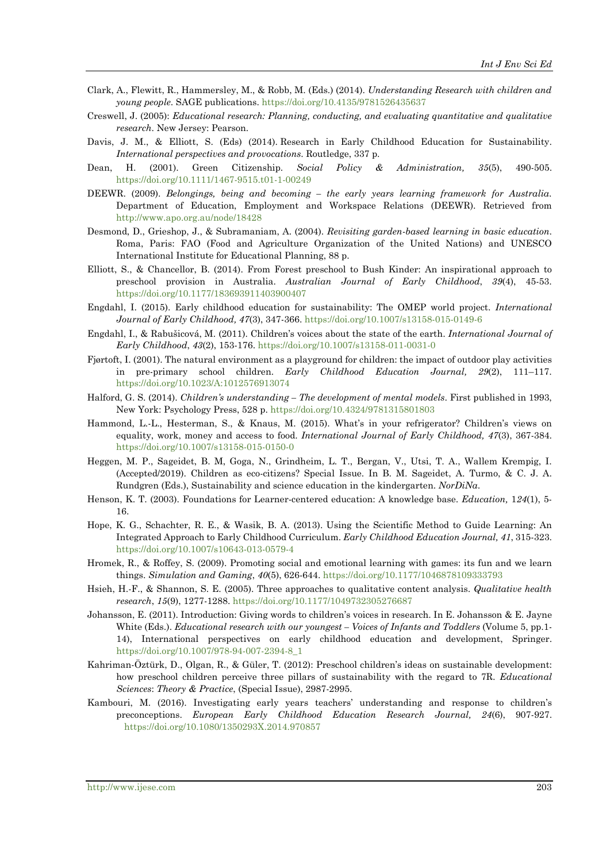- Clark, A., Flewitt, R., Hammersley, M., & Robb, M. (Eds.) (2014). *Understanding Research with children and young people*. SAGE publications. <https://doi.org/10.4135/9781526435637>
- Creswell, J. (2005): *Educational research: Planning, conducting, and evaluating quantitative and qualitative research*. New Jersey: Pearson.
- Davis, J. M., & Elliott, S. (Eds) (2014). Research in Early Childhood Education for Sustainability. *International perspectives and provocations*. Routledge, 337 p.
- Dean, H. (2001). Green Citizenship. *Social Policy & Administration, 35*(5), 490-505. <https://doi.org/10.1111/1467-9515.t01-1-00249>
- DEEWR. (2009). *Belongings, being and becoming – the early years learning framework for Australia*. Department of Education, Employment and Workspace Relations (DEEWR). Retrieved from <http://www.apo.org.au/node/18428>
- Desmond, D., Grieshop, J., & Subramaniam, A. (2004). *Revisiting garden-based learning in basic education*. Roma, Paris: FAO (Food and Agriculture Organization of the United Nations) and UNESCO International Institute for Educational Planning, 88 p.
- Elliott, S., & Chancellor, B. (2014). From Forest preschool to Bush Kinder: An inspirational approach to preschool provision in Australia. *Australian Journal of Early Childhood*, *39*(4), 45-53. <https://doi.org/10.1177/183693911403900407>
- Engdahl, I. (2015). Early childhood education for sustainability: The OMEP world project. *International Journal of Early Childhood, 47*(3), 347-366. <https://doi.org/10.1007/s13158-015-0149-6>
- Engdahl, I., & Rabušicová, M. (2011). Children's voices about the state of the earth. *International Journal of Early Childhood*, *43*(2), 153-176. <https://doi.org/10.1007/s13158-011-0031-0>
- Fjørtoft, I. (2001). The natural environment as a playground for children: the impact of outdoor play activities in pre-primary school children. *Early Childhood Education Journal, 29*(2), 111–117. <https://doi.org/10.1023/A:1012576913074>
- Halford, G. S. (2014). *Children's understanding – The development of mental models*. First published in 1993, New York: Psychology Press, 528 p. <https://doi.org/10.4324/9781315801803>
- Hammond, L.-L., Hesterman, S., & Knaus, M. (2015). What's in your refrigerator? Children's views on equality, work, money and access to food. *International Journal of Early Childhood, 47*(3), 367-384. <https://doi.org/10.1007/s13158-015-0150-0>
- Heggen, M. P., Sageidet, B. M, Goga, N., Grindheim, L. T., Bergan, V., Utsi, T. A., Wallem Krempig, I. (Accepted/2019). Children as eco-citizens? Special Issue. In B. M. Sageidet, A. Turmo, & C. J. A. Rundgren (Eds.), Sustainability and science education in the kindergarten. *NorDiNa*.
- Henson, K. T. (2003). Foundations for Learner-centered education: A knowledge base. *Education,* 1*24*(1), 5- 16.
- Hope, K. G., Schachter, R. E., & Wasik, B. A. (2013). Using the Scientific Method to Guide Learning: An Integrated Approach to Early Childhood Curriculum. *Early Childhood Education Journal, 41*, 315-323. <https://doi.org/10.1007/s10643-013-0579-4>
- Hromek, R., & Roffey, S. (2009). Promoting social and emotional learning with games: its fun and we learn things. *Simulation and Gaming*, *40*(5), 626-644. <https://doi.org/10.1177/1046878109333793>
- Hsieh, H.-F., & Shannon, S. E. (2005). Three approaches to qualitative content analysis. *Qualitative health research*, *15*(9), 1277-1288.<https://doi.org/10.1177/1049732305276687>
- Johansson, E. (2011). Introduction: Giving words to children's voices in research. In E. Johansson & E. Jayne White (Eds.). *Educational research with our youngest – Voices of Infants and Toddlers* (Volume 5, pp.1- 14), International perspectives on early childhood education and development, Springer. [https://doi.org/10.1007/978-94-007-2394-8\\_1](https://doi.org/10.1007/978-94-007-2394-8_1)
- Kahriman-Öztürk, D., Olgan, R., & Güler, T. (2012): Preschool children's ideas on sustainable development: how preschool children perceive three pillars of sustainability with the regard to 7R. *Educational Sciences*: *Theory & Practice*, (Special Issue), 2987-2995.
- Kambouri, M. (2016). Investigating early years teachers' understanding and response to children's preconceptions. *European Early Childhood Education Research Journal, 24*(6), 907-927. <https://doi.org/10.1080/1350293X.2014.970857>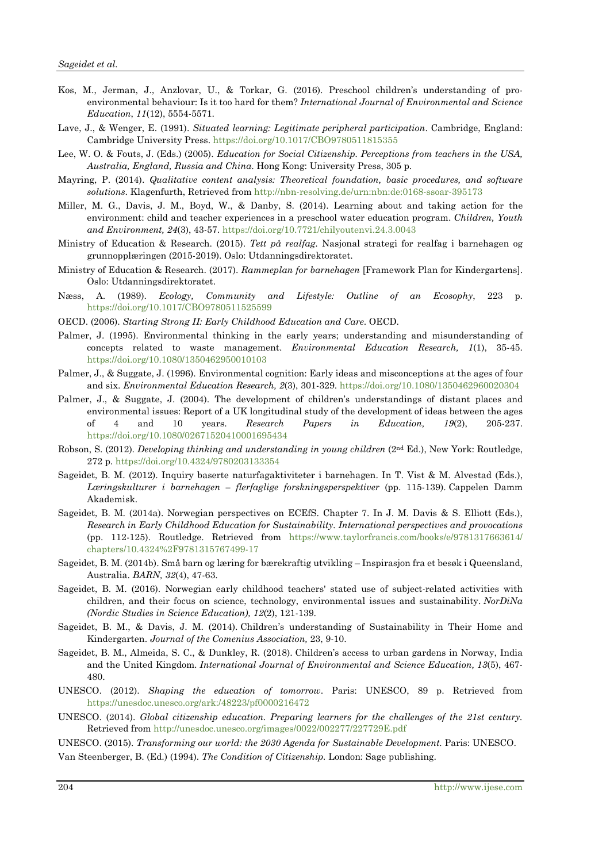- Kos, M., Jerman, J., Anzlovar, U., & Torkar, G. (2016). Preschool children's understanding of proenvironmental behaviour: Is it too hard for them? *International Journal of Environmental and Science Education*, *11*(12), 5554-5571.
- Lave, J., & Wenger, E. (1991). *Situated learning: Legitimate peripheral participation*. Cambridge, England: Cambridge University Press. <https://doi.org/10.1017/CBO9780511815355>
- Lee, W. O. & Fouts, J. (Eds.) (2005). *Education for Social Citizenship. Perceptions from teachers in the USA, Australia, England, Russia and China*. Hong Kong: University Press, 305 p.
- Mayring, P. (2014). *Qualitative content analysis: Theoretical foundation, basic procedures, and software solutions*. Klagenfurth, Retrieved from <http://nbn-resolving.de/urn:nbn:de:0168-ssoar-395173>
- Miller, M. G., Davis, J. M., Boyd, W., & Danby, S. (2014). Learning about and taking action for the environment: child and teacher experiences in a preschool water education program. *Children, Youth and Environment, 24*(3), 43-57. <https://doi.org/10.7721/chilyoutenvi.24.3.0043>
- Ministry of Education & Research. (2015). *Tett på realfag*. Nasjonal strategi for realfag i barnehagen og grunnopplæringen (2015-2019). Oslo: Utdanningsdirektoratet.
- Ministry of Education & Research. (2017). *Rammeplan for barnehagen* [Framework Plan for Kindergartens]. Oslo: Utdanningsdirektoratet.
- Næss, A. (1989). *Ecology, Community and Lifestyle: Outline of an Ecosophy*, 223 p. <https://doi.org/10.1017/CBO9780511525599>
- OECD. (2006). *Starting Strong II: Early Childhood Education and Care*. OECD.
- Palmer, J. (1995). Environmental thinking in the early years; understanding and misunderstanding of concepts related to waste management. *Environmental Education Research, 1*(1), 35-45. <https://doi.org/10.1080/1350462950010103>
- Palmer, J., & Suggate, J. (1996). Environmental cognition: Early ideas and misconceptions at the ages of four and six. *Environmental Education Research, 2*(3), 301-329. <https://doi.org/10.1080/1350462960020304>
- Palmer, J., & Suggate, J. (2004). The development of children's understandings of distant places and environmental issues: Report of a UK longitudinal study of the development of ideas between the ages of 4 and 10 years. *Research Papers in Education, 19*(2), 205-237. <https://doi.org/10.1080/02671520410001695434>
- Robson, S. (2012). *Developing thinking and understanding in young children* (2nd Ed.), New York: Routledge, 272 p. <https://doi.org/10.4324/9780203133354>
- Sageidet, B. M. (2012). Inquiry baserte naturfagaktiviteter i barnehagen. In T. Vist & M. Alvestad (Eds.), *Læringskulturer i barnehagen – flerfaglige forskningsperspektiver* (pp. 115-139). Cappelen Damm Akademisk.
- Sageidet, B. M. (2014a). Norwegian perspectives on ECEfS. Chapter 7. In J. M. Davis & S. Elliott (Eds.), *Research in Early Childhood Education for Sustainability. International perspectives and provocations* (pp. 112-125). Routledge. Retrieved from [https://www.taylorfrancis.com/books/e/9781317663614/](https://www.taylorfrancis.com/books/e/9781317663614/chapters/10.4324%2F9781315767499-17) [chapters/10.4324%2F9781315767499-17](https://www.taylorfrancis.com/books/e/9781317663614/chapters/10.4324%2F9781315767499-17)
- Sageidet, B. M. (2014b). Små barn og læring for bærekraftig utvikling Inspirasjon fra et besøk i Queensland, Australia. *BARN, 32*(4), 47-63.
- Sageidet, B. M. (2016). Norwegian early childhood teachers' stated use of subject-related activities with children, and their focus on science, technology, environmental issues and sustainability. *NorDiNa (Nordic Studies in Science Education), 12*(2), 121-139.
- Sageidet, B. M., & Davis, J. M. (2014). Children's understanding of Sustainability in Their Home and Kindergarten. *Journal of the Comenius Association,* 23, 9-10.
- Sageidet, B. M., Almeida, S. C., & Dunkley, R. (2018). Children's access to urban gardens in Norway, India and the United Kingdom. *International Journal of Environmental and Science Education, 13*(5), 467- 480.
- UNESCO. (2012). *Shaping the education of tomorrow*. Paris: UNESCO, 89 p. Retrieved from <https://unesdoc.unesco.org/ark:/48223/pf0000216472>
- UNESCO. (2014). *Global citizenship education. Preparing learners for the challenges of the 21st century.* Retrieved from <http://unesdoc.unesco.org/images/0022/002277/227729E.pdf>

UNESCO. (2015). *Transforming our world: the 2030 Agenda for Sustainable Development.* Paris: UNESCO.

Van Steenberger, B. (Ed.) (1994). *The Condition of Citizenship.* London: Sage publishing.